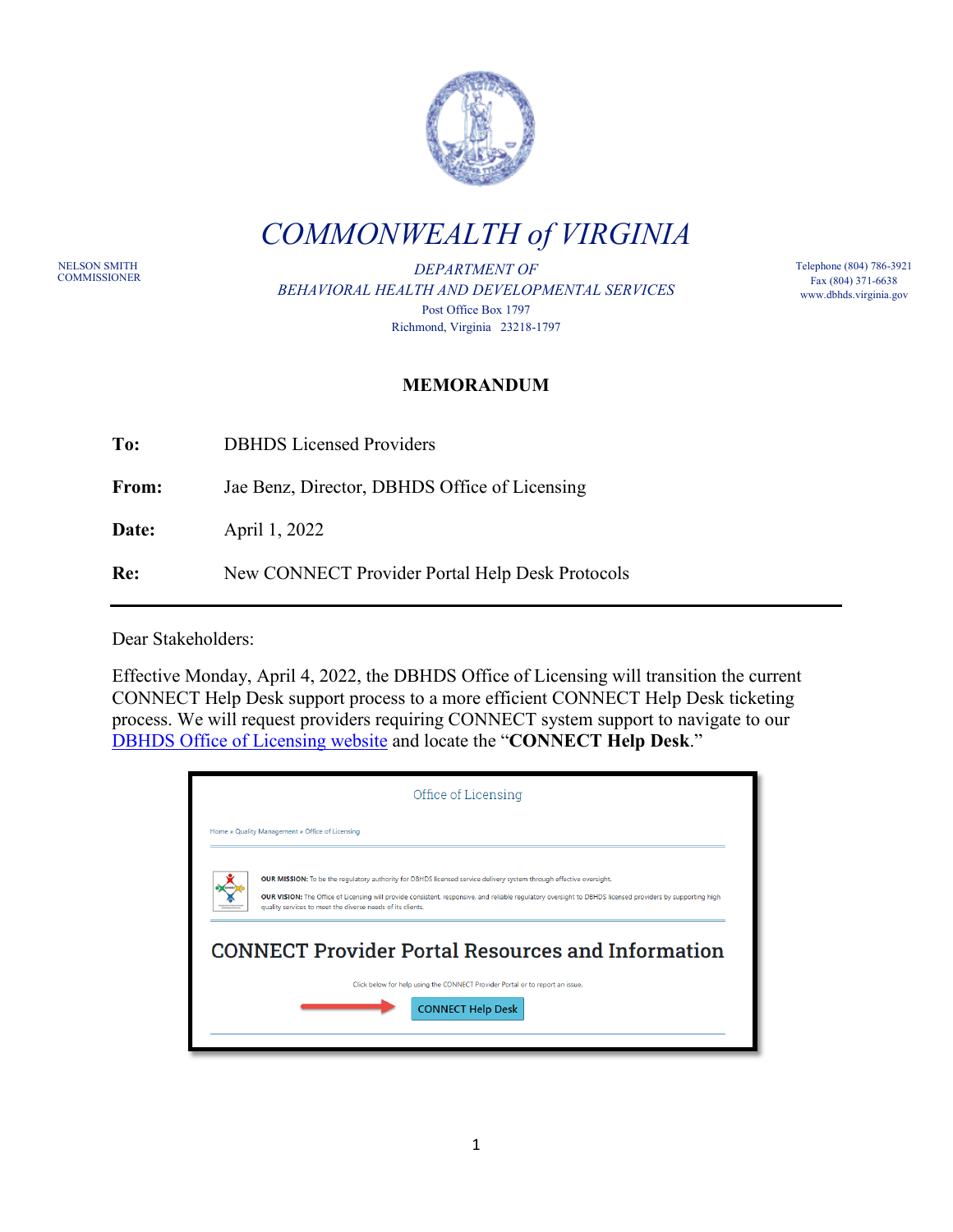

*COMMONWEALTH of VIRGINIA*

NELSON SMITH<br>COMMISSIONER

DEPARTMENT OF *BEHAVIORAL HEALTH AND DEVELOPMENTAL SERVICES* Post Office Box 1797 Richmond, Virginia 23218-1797

Telephone (804) 786-3921 Fax (804) 371-6638 www.dbhds.virginia.gov

## **MEMORANDUM**

**To:** DBHDS Licensed Providers

From: Jae Benz, Director, DBHDS Office of Licensing

**Date:** April 1, 2022

**Re:** New CONNECT Provider Portal Help Desk Protocols

Dear Stakeholders:

Effective Monday, April 4, 2022, the DBHDS Office of Licensing will transition the current CONNECT Help Desk support process to a more efficient CONNECT Help Desk ticketing process. We will request providers requiring CONNECT system support to navigate to our [DBHDS Office of Licensing website](https://dbhds.virginia.gov/quality-management/office-of-licensing/) and locate the "**CONNECT Help Desk**."